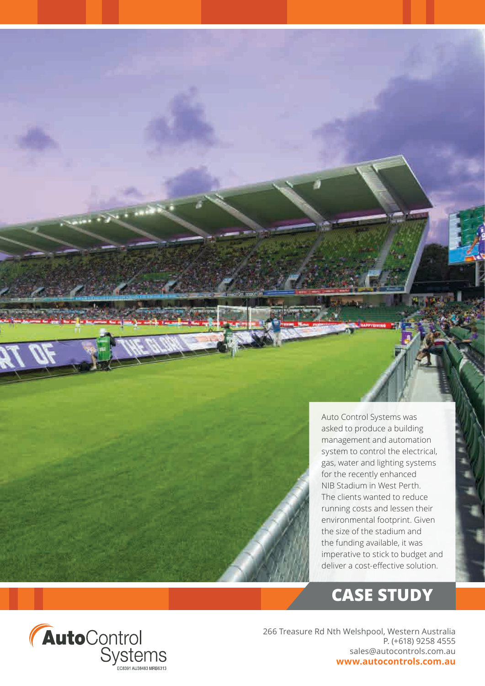

# **CASE STUDY**



266 Treasure Rd Nth Welshpool, Western Australia P. (+618) 9258 4555 sales@autocontrols.com.au **www.autocontrols.com.au**